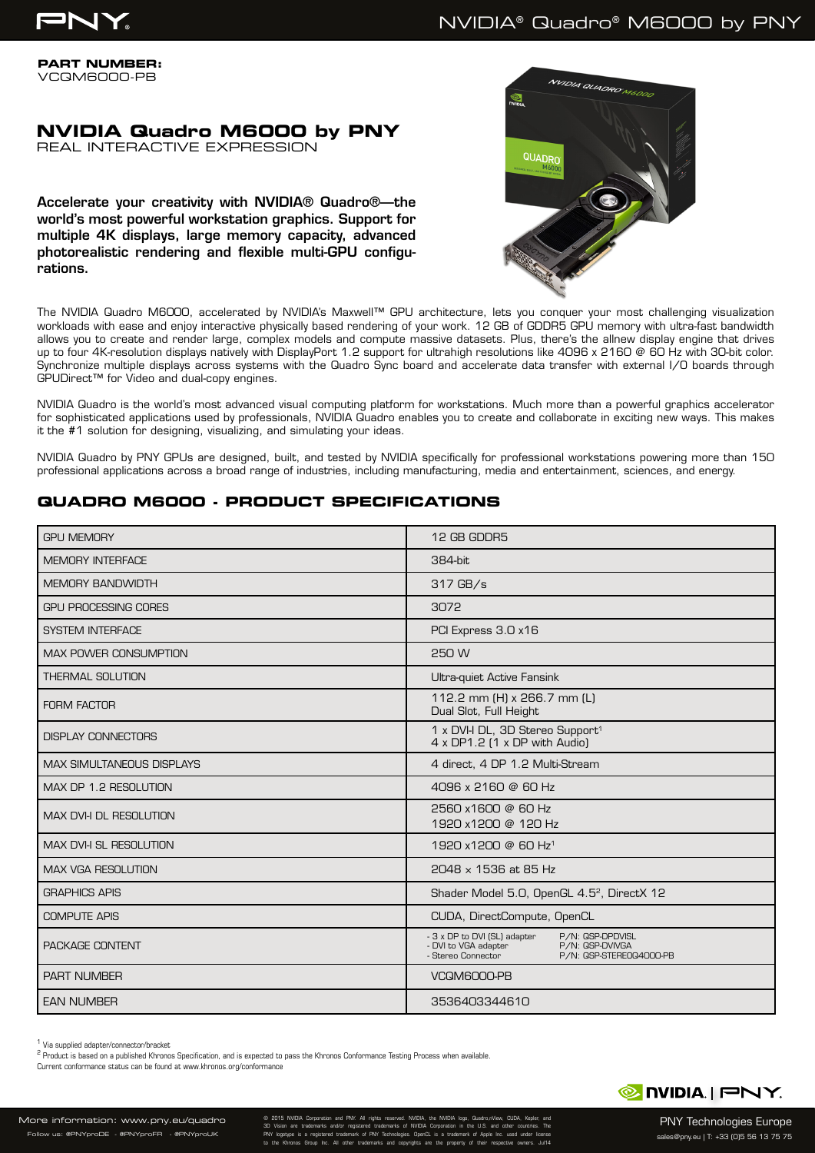

**PART NUMBER:** VCQM6000-PB

# **NVIDIA Quadro M6000 by PNY**

REAL INTERACTIVE EXPRESSION

Accelerate your creativity with NVIDIA® Quadro®—the world's most powerful workstation graphics. Support for multiple 4K displays, large memory capacity, advanced photorealistic rendering and flexible multi-GPU configurations.



The NVIDIA Quadro M6000, accelerated by NVIDIA's Maxwell™ GPU architecture, lets you conquer your most challenging visualization workloads with ease and enjoy interactive physically based rendering of your work. 12 GB of GDDR5 GPU memory with ultra-fast bandwidth allows you to create and render large, complex models and compute massive datasets. Plus, there's the allnew display engine that drives up to four 4K-resolution displays natively with DisplayPort 1.2 support for ultrahigh resolutions like 4096 x 2160 @ 60 Hz with 30-bit color. Synchronize multiple displays across systems with the Quadro Sync board and accelerate data transfer with external I/O boards through GPUDirect™ for Video and dual-copy engines.

NVIDIA Quadro is the world's most advanced visual computing platform for workstations. Much more than a powerful graphics accelerator for sophisticated applications used by professionals, NVIDIA Quadro enables you to create and collaborate in exciting new ways. This makes it the #1 solution for designing, visualizing, and simulating your ideas.

NVIDIA Quadro by PNY GPUs are designed, built, and tested by NVIDIA specifically for professional workstations powering more than 150 professional applications across a broad range of industries, including manufacturing, media and entertainment, sciences, and energy.

## **QUADRO M6000 - PRODUCT SPECIFICATIONS**

| <b>GPU MEMORY</b>                | 12 GB GDDR5                                                                                                                                  |
|----------------------------------|----------------------------------------------------------------------------------------------------------------------------------------------|
| <b>MEMORY INTERFACE</b>          | 384-bit                                                                                                                                      |
| <b>MEMORY BANDWIDTH</b>          | 317 GB/s                                                                                                                                     |
| <b>GPU PROCESSING CORES</b>      | 3072                                                                                                                                         |
| <b>SYSTEM INTERFACE</b>          | PCI Express 3.0 x16                                                                                                                          |
| <b>MAX POWER CONSUMPTION</b>     | 250 W                                                                                                                                        |
| <b>THERMAL SOLUTION</b>          | Ultra-quiet Active Fansink                                                                                                                   |
| <b>FORM FACTOR</b>               | 112.2 mm (H) x 266.7 mm (L)<br>Dual Slot, Full Height                                                                                        |
| <b>DISPLAY CONNECTORS</b>        | 1 x DVI-I DL, 3D Stereo Support <sup>1</sup><br>4 x DP1.2 (1 x DP with Audio)                                                                |
| <b>MAX SIMULTANEOUS DISPLAYS</b> | 4 direct, 4 DP 1.2 Multi-Stream                                                                                                              |
| MAX DP 1.2 RESOLUTION            | 4096 x 2160 @ 60 Hz                                                                                                                          |
| <b>MAX DVI-I DL RESOLUTION</b>   | 2560 x1600 @ 60 Hz<br>1920 x1200 @ 120 Hz                                                                                                    |
| <b>MAX DVI-I SL RESOLUTION</b>   | 1920 x1200 @ 60 Hz <sup>1</sup>                                                                                                              |
| <b>MAX VGA RESOLUTION</b>        | 2048 x 1536 at 85 Hz                                                                                                                         |
| <b>GRAPHICS APIS</b>             | Shader Model 5.0, OpenGL 4.5 <sup>2</sup> , DirectX 12                                                                                       |
| <b>COMPUTE APIS</b>              | CUDA, DirectCompute, OpenCL                                                                                                                  |
| PACKAGE CONTENT                  | - 3 x DP to DVI (SL) adapter<br>P/N: QSP-DPDVISL<br>- DVI to VGA adapter<br>P/N: QSP-DVIVGA<br>- Stereo Connector<br>P/N: QSP-STERE0Q4000-PB |
| <b>PART NUMBER</b>               | VCQM6000-PB                                                                                                                                  |
| <b>EAN NUMBER</b>                | 3536403344610                                                                                                                                |

1 Via supplied adapter/connector/bracket

<sup>2</sup> Product is based on a published Khronos Specification, and is expected to pass the Khronos Conformance Testing Process when available.

Current conformance status can be found at www.khronos.org/conformance



More information: www.pny.eu/quadro .<br>W us: @PNYproDE - @PNYproFR - @PNYproUK

© 2015 NVIDIA Corporation and PNY. All rights reserved. NVIDIA, the NVIDIA logo, Quadro,nView, CUDA, Kepler, and 3D Vision are trademarks and/or registered trademarks of NVIDIA Corporation in the U.S. and other countries. The PNY logotype is a registered trademark of PNY Technologies. OpenCL is a trademark of Apple Inc. used under license to the Khronos Group Inc. All other trademarks and copyrights are the property of their respective owners. Jul14

PNY Technologies Europe sales@pny.eu | T: +33 (0)5 56 13 75 75